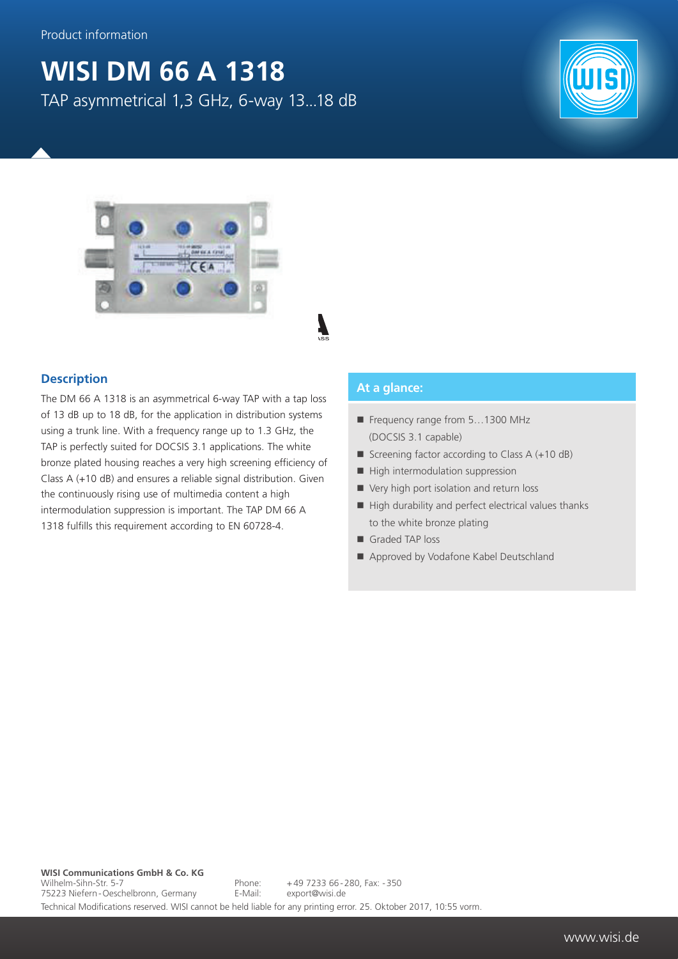## **WISI DM 66 A 1318**

TAP asymmetrical 1,3 GHz, 6-way 13...18 dB





## **Description**

The DM 66 A 1318 is an asymmetrical 6-way TAP with a tap loss of 13 dB up to 18 dB, for the application in distribution systems using a trunk line. With a frequency range up to 1.3 GHz, the TAP is perfectly suited for DOCSIS 3.1 applications. The white bronze plated housing reaches a very high screening efficiency of Class A (+10 dB) and ensures a reliable signal distribution. Given the continuously rising use of multimedia content a high intermodulation suppression is important. The TAP DM 66 A 1318 fulfills this requirement according to EN 60728-4.

## **At a glance:**

- Frequency range from 5...1300 MHz (DOCSIS 3.1 capable)
- Screening factor according to Class  $A (+10 dB)$
- $\blacksquare$  High intermodulation suppression
- Very high port isolation and return loss
- $\blacksquare$  High durability and perfect electrical values thanks to the white bronze plating
- Graded TAP loss
- Approved by Vodafone Kabel Deutschland